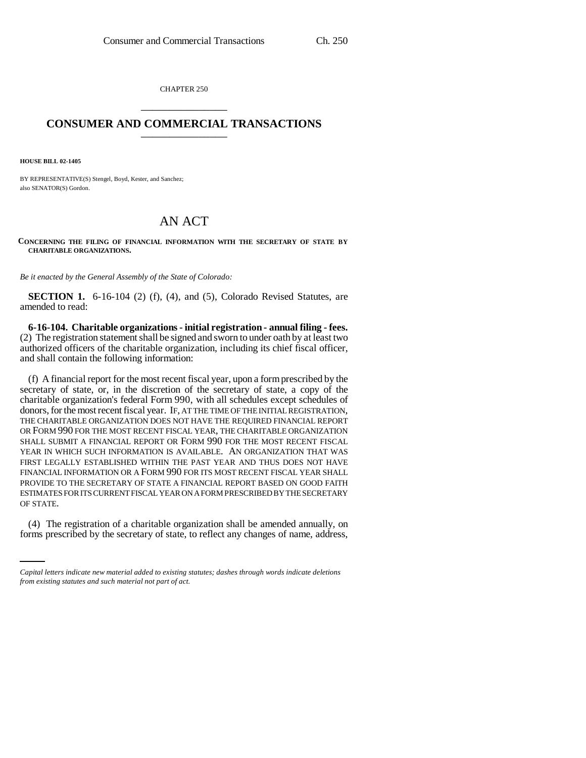CHAPTER 250 \_\_\_\_\_\_\_\_\_\_\_\_\_\_\_

## **CONSUMER AND COMMERCIAL TRANSACTIONS** \_\_\_\_\_\_\_\_\_\_\_\_\_\_\_

**HOUSE BILL 02-1405**

BY REPRESENTATIVE(S) Stengel, Boyd, Kester, and Sanchez; also SENATOR(S) Gordon.

## AN ACT

**CONCERNING THE FILING OF FINANCIAL INFORMATION WITH THE SECRETARY OF STATE BY CHARITABLE ORGANIZATIONS.**

*Be it enacted by the General Assembly of the State of Colorado:*

**SECTION 1.** 6-16-104 (2) (f), (4), and (5), Colorado Revised Statutes, are amended to read:

**6-16-104. Charitable organizations - initial registration - annual filing - fees.** (2) The registration statement shall be signed and sworn to under oath by at least two authorized officers of the charitable organization, including its chief fiscal officer, and shall contain the following information:

(f) A financial report for the most recent fiscal year, upon a form prescribed by the secretary of state, or, in the discretion of the secretary of state, a copy of the charitable organization's federal Form 990, with all schedules except schedules of donors, for the most recent fiscal year. IF, AT THE TIME OF THE INITIAL REGISTRATION, THE CHARITABLE ORGANIZATION DOES NOT HAVE THE REQUIRED FINANCIAL REPORT OR FORM 990 FOR THE MOST RECENT FISCAL YEAR, THE CHARITABLE ORGANIZATION SHALL SUBMIT A FINANCIAL REPORT OR FORM 990 FOR THE MOST RECENT FISCAL YEAR IN WHICH SUCH INFORMATION IS AVAILABLE. AN ORGANIZATION THAT WAS FIRST LEGALLY ESTABLISHED WITHIN THE PAST YEAR AND THUS DOES NOT HAVE FINANCIAL INFORMATION OR A FORM 990 FOR ITS MOST RECENT FISCAL YEAR SHALL PROVIDE TO THE SECRETARY OF STATE A FINANCIAL REPORT BASED ON GOOD FAITH ESTIMATES FOR ITS CURRENT FISCAL YEAR ON A FORM PRESCRIBED BY THE SECRETARY OF STATE.

(4) The registration of a charitable organization shall be amended annually, on forms prescribed by the secretary of state, to reflect any changes of name, address,

*Capital letters indicate new material added to existing statutes; dashes through words indicate deletions from existing statutes and such material not part of act.*